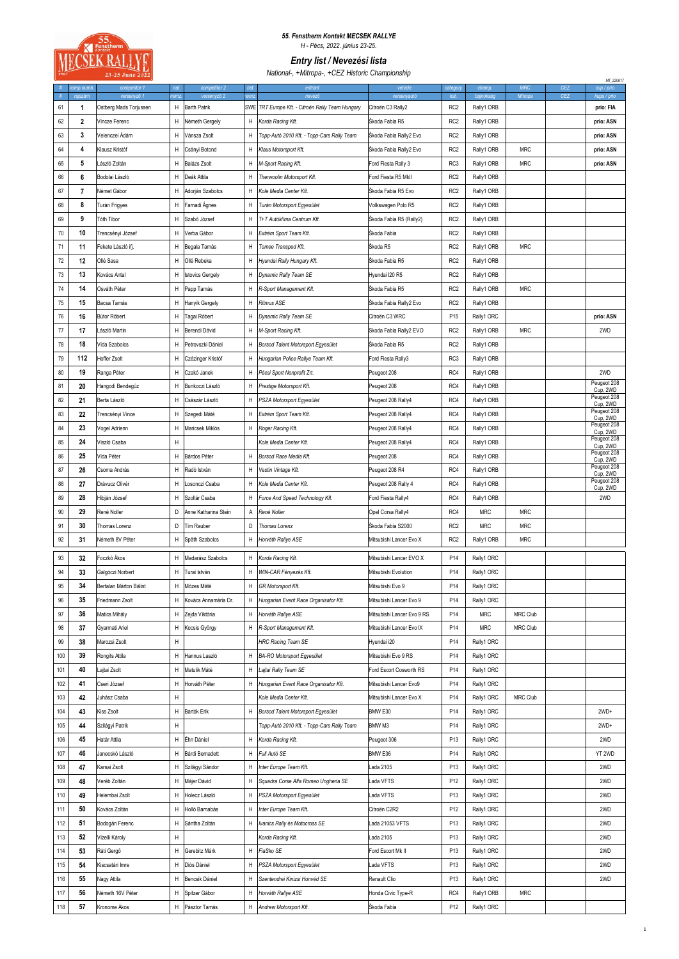

## *55. Fenstherm Kontakt MECSEK RALLYE H - Pécs, 2022. június 23-25.*

*Entry list / Nevezési lista*

*National-, +Mitropa-, +CEZ Historic Championship*

|       |                      | 23-25 June 2022             |            |                             |            | $r$ vationar, <i>mittopar</i> , $C2L$ motoric origin pronomp |                            |                 |                     |                       |            | MT_220617                 |
|-------|----------------------|-----------------------------|------------|-----------------------------|------------|--------------------------------------------------------------|----------------------------|-----------------|---------------------|-----------------------|------------|---------------------------|
| $\pm$ | omp.numb.<br>rajszám | competitor 1<br>versenyző 1 | nat<br>emz | competitor 2<br>versenyző 2 | nat<br>emz | entrant<br>nevez                                             | vehicle<br>versenyautó     | categon<br>kat. | champ.<br>bajnokság | <b>MRC</b><br>Mitropa | CEZ<br>CEZ | cup / prio<br>kupa / prio |
| 61    | 1                    | Ostberg Mads Torjussen      | н          | <b>Barth Patrik</b>         |            | SWE TRT Europe Kft. - Citroën Rally Team Hungary             | Citroën C3 Rally2          | RC <sub>2</sub> | Rally1 ORB          |                       |            | prio: FIA                 |
| 62    | 2                    | Vincze Ferenc               | н          | Németh Gergely              | H          | Korda Racing Kft.                                            | Škoda Fabia R5             | RC <sub>2</sub> | Rally1 ORB          |                       |            | prio: ASN                 |
| 63    | 3                    | √elenczei Ádám              | н          | Vánsza Zsolt                | H          | Topp-Autó 2010 Kft. - Topp-Cars Rally Team                   | Škoda Fabia Rally2 Evo     | RC <sub>2</sub> | Rally1 ORB          |                       |            | prio: ASN                 |
| 64    | 4                    | Klausz Kristóf              | Н          | Csányi Botond               | н          | Klaus Motorsport Kft.                                        | Skoda Fabia Rally2 Evo     | RC <sub>2</sub> | Rally1 ORB          | <b>MRC</b>            |            | prio: ASN                 |
| 65    | 5                    | László Zoltán               | Н          | Balázs Zsolt                | н          | M-Sport Racing Kft.                                          | Ford Fiesta Rally 3        | RC3             | Rally1 ORB          | <b>MRC</b>            |            | prio: ASN                 |
| 66    | 6                    | Bodolai László              | н          | Deák Attila                 | н          | Therwoolin Motorsport Kft.                                   | Ford Fiesta R5 Mkll        | RC <sub>2</sub> | Rally1 ORB          |                       |            |                           |
| 67    | $\overline{7}$       | Német Gábor                 | н          | Adorján Szabolcs            | H          | Kole Media Center Kft.                                       | Škoda Fabia R5 Evo         | RC <sub>2</sub> | Rally1 ORB          |                       |            |                           |
|       |                      |                             |            |                             |            |                                                              |                            |                 |                     |                       |            |                           |
| 68    | 8                    | Turán Frigyes               | н          | Farnadi Agnes               | H          | Turán Motorsport Egyesület                                   | Volkswagen Polo R5         | RC <sub>2</sub> | Rally1 ORB          |                       |            |                           |
| 69    | 9                    | Tóth Tibor                  | н          | Szabó József                | н          | T+T Autóklima Centrum Kft.                                   | Skoda Fabia R5 (Rally2)    | RC <sub>2</sub> | Rally1 ORB          |                       |            |                           |
| 70    | 10                   | Frencsényi József           | н          | Verba Gábor                 | н          | Extrém Sport Team Kft.                                       | Skoda Fabia                | RC <sub>2</sub> | Rally1 ORB          |                       |            |                           |
| 71    | 11                   | Fekete László ifj.          | Н          | Begala Tamás                | н          | Tomee Transped Kft.                                          | Skoda R5                   | RC <sub>2</sub> | Rally1 ORB          | <b>MRC</b>            |            |                           |
| 72    | 12                   | Ollé Sasa                   | н          | Ollé Rebeka                 | н          | Hyundai Rally Hungary Kft.                                   | Škoda Fabia R5             | RC <sub>2</sub> | Rally1 ORB          |                       |            |                           |
| 73    | 13                   | Kovács Antal                | н          | <b>Istovics Gergely</b>     | н          | Dynamic Rally Team SE                                        | Hyundai I20 R5             | RC <sub>2</sub> | Rally1 ORB          |                       |            |                           |
| 74    | 14                   | Osváth Péter                | Н          | Papp Tamás                  | H          | R-Sport Management Kft.                                      | Škoda Fabia R5             | RC <sub>2</sub> | Rally1 ORB          | <b>MRC</b>            |            |                           |
| 75    | 15                   | Bacsa Tamás                 | н          | Hanyik Gergely              | н          | Ritmus ASE                                                   | Škoda Fabia Rally2 Evo     | RC <sub>2</sub> | Rally1 ORB          |                       |            |                           |
| 76    | 16                   | Bútor Róbert                | Н          | Tagai Róbert                | н          | Dynamic Rally Team SE                                        | Citroën C3 WRC             | P15             | Rally1 ORC          |                       |            | prio: ASN                 |
| 77    | 17                   | László Martin               | н          | Berendi Dávid               | н          | M-Sport Racing Kft.                                          | Skoda Fabia Rally2 EVO     | RC <sub>2</sub> | Rally1 ORB          | <b>MRC</b>            |            | 2WD                       |
| 78    | 18                   | Vida Szabolcs               | Н          | Petrovszki Dániel           | н          | Borsod Talent Motorsport Egyesület                           | Skoda Fabia R5             | RC <sub>2</sub> | Rally1 ORB          |                       |            |                           |
| 79    | 112                  | Hoffer Zsolt                | н          | Czézinger Kristóf           | H          | Hungarian Police Rallye Team Kft.                            | Ford Fiesta Rally3         | RC3             | Rally1 ORB          |                       |            |                           |
| 80    | 19                   | Ranga Péter                 | н          | Czakó Janek                 | H          | Pécsi Sport Nonprofit Zrt.                                   | Peugeot 208                | RC4             | Rally1 ORB          |                       |            | 2WD                       |
| 81    | 20                   | Hangodi Bendegúz            | н          | Bunkoczi László             | H          | Prestige Motorsport Kft.                                     | Peugeot 208                | RC4             | Rally1 ORB          |                       |            | Peugeot 208               |
| 82    | 21                   | Berta László                | Н          | Császár László              | н          | PSZA Motorsport Egyesület                                    | Peugeot 208 Rally4         | RC4             | Rally1 ORB          |                       |            | Cup, 2WD<br>Peugeot 208   |
| 83    | 22                   | Frencsényi Vince            | Н          | Szegedi Máté                | H          | Extrém Sport Team Kft.                                       | Peugeot 208 Rally4         | RC4             | Rally1 ORB          |                       |            | Cup, 2WD<br>Peugeot 208   |
| 84    | 23                   | /ogel Adrienn               | н          | Maricsek Miklós             | H          | Roger Racing Kft.                                            | Peugeot 208 Rally4         | RC4             | Rally1 ORB          |                       |            | Cup, 2WD<br>Peugeot 208   |
|       |                      |                             |            |                             |            |                                                              |                            |                 |                     |                       |            | Cup, 2WD<br>Peugeot 208   |
| 85    | 24                   | /iszló Csaba                | н          |                             |            | Kole Media Center Kft.                                       | Peugeot 208 Rally4         | RC4             | Rally1 ORB          |                       |            | Cup, 2WD<br>Peugeot 208   |
| 86    | 25                   | Vida Péter                  | Н          | Bárdos Péter                | H          | Borsod Race Media Kft.                                       | Peugeot 208                | RC4             | Rally1 ORB          |                       |            | Cup, 2WD<br>Peugeot 208   |
| 87    | 26                   | Csoma András                | н          | Radó István                 | н          | Vestin Vintage Kft.                                          | Peugeot 208 R4             | RC4             | Rally1 ORB          |                       |            | Cup, 2WD<br>Peugeot 208   |
| 88    | 27                   | Drávucz Olivér              | Н          | Losonczi Csaba              | н          | Kole Media Center Kft.                                       | Peugeot 208 Rally 4        | RC4             | Rally1 ORB          |                       |            | Cup, 2WD                  |
| 89    | 28                   | Hibján József               | Н          | Szollár Csaba               | н          | Force And Speed Technology Kft.                              | Ford Fiesta Rally4         | RC4             | Rally1 ORB          |                       |            | 2WD                       |
| 90    | 29                   | René Noller                 | D          | Anne Katharina Stein        | Α          | René Noller                                                  | Opel Corsa Rally4          | RC4             | <b>MRC</b>          | <b>MRC</b>            |            |                           |
| 91    | 30                   | Thomas Lorenz               | D          | <b>Tim Rauber</b>           | D          | Thomas Lorenz                                                | Škoda Fabia S2000          | RC <sub>2</sub> | <b>MRC</b>          | <b>MRC</b>            |            |                           |
| 92    | 31                   | Németh 8V Péter             | н          | Späth Szabolcs              | н          | Horváth Rallye ASE                                           | Mitsubishi Lancer Evo X    | RC <sub>2</sub> | Rally1 ORB          | <b>MRC</b>            |            |                           |
| 93    | 32                   | Foczkó Ákos                 | н          | Madarász Szabolcs           | H          | Korda Racing Kft.                                            | Mitsubishi Lancer EVO X    | P14             | Rally1 ORC          |                       |            |                           |
| 94    | 33                   | Galgóczi Norbert            | н          | Turai István                | H          | WIN-CAR Fényezés Kft.                                        | Mitsubishi Evolution       | P <sub>14</sub> | Rally1 ORC          |                       |            |                           |
| 95    | 34                   | Bertalan Márton Bálint      | Н          | Mózes Máté                  | н          | GR Motorsport Kft.                                           | Mitsubishi Evo 9           | P14             | Rally1 ORC          |                       |            |                           |
| 96    | 35                   | Friedmann Zsolt             | н          | Kovács Annamária Dr.        | н          | Hungarian Event Race Organisator Kft.                        | Mitsubishi Lancer Evo 9    | P14             | Rally1 ORC          |                       |            |                           |
| 97    | 36                   | Matics Mihály               | н          | Zejda Viktória              | H          | Horváth Rallye ASE                                           | Mitsubishi Lancer Evo 9 RS | P14             | <b>MRC</b>          | <b>MRC Club</b>       |            |                           |
| 98    | 37                   | Gyarmati Ariel              | н          | Kocsis György               | H          | R-Sport Management Kft.                                      | Mitsubishi Lancer Evo IX   | P14             | <b>MRC</b>          | MRC Club              |            |                           |
| 99    | 38                   | Marozsi Zsolt               | н          |                             |            | HRC Racing Team SE                                           | Hyundai i20                | P14             | Rally1 ORC          |                       |            |                           |
|       |                      |                             |            |                             |            |                                                              |                            |                 |                     |                       |            |                           |
| 100   | 39                   | Rongits Attila              | н          | Hannus Laszló               | н          | <b>BA-RO Motorsport Egyesület</b>                            | Mitsubishi Evo 9 RS        | P14             | Rally1 ORC          |                       |            |                           |
| 101   | 40                   | Lajtai Zsolt                | н          | Matulik Máté                | H          | Lajtai Rally Team SE                                         | Ford Escort Cosworth RS    | P14             | Rally1 ORC          |                       |            |                           |
| 102   | 41                   | Cseri József                | Н          | Horváth Péter               | H          | Hungarian Event Race Organisator Kft.                        | Mitsubishi Lancer Evo9     | P14             | Rally1 ORC          |                       |            |                           |
| 103   | 42                   | Juhász Csaba                | Н          |                             |            | Kole Media Center Kft.                                       | Mitsubishi Lancer Evo X    | P14             | Rally1 ORC          | MRC Club              |            |                           |
| 104   | 43                   | Kiss Zsolt                  | Н          | Bartók Erik                 | н          | Borsod Talent Motorsport Egyesület                           | BMW E30                    | P14             | Rally1 ORC          |                       |            | $2WD+$                    |
| 105   | 44                   | Szilágyi Patrik             | н          |                             |            | Topp-Autó 2010 Kft. - Topp-Cars Rally Team                   | BMW M3                     | P14             | Rally1 ORC          |                       |            | $2WD+$                    |
| 106   | 45                   | Határ Attila                | н          | Éhn Dániel                  | н          | Korda Racing Kft.                                            | Peugeot 306                | P13             | Rally1 ORC          |                       |            | 2WD                       |
| 107   | 46                   | Janecskó László             | н          | Bárdi Bernadett             | н          | Full Autó SE                                                 | BMW E36                    | P14             | Rally1 ORC          |                       |            | YT 2WD                    |
| 108   | 47                   | Karsai Zsolt                | н          | Szilágyi Sándor             | н          | Inter Europe Team Kft.                                       | Lada 2105                  | P13             | Rally1 ORC          |                       |            | 2WD                       |
| 109   | 48                   | Veréb Zoltán                | Н          | Májer Dávid                 | н          | Squadra Corse Alfa Romeo Ungheria SE                         | Lada VFTS                  | P12             | Rally1 ORC          |                       |            | 2WD                       |
| 110   | 49                   | Helembai Zsolt              | Н          | Holecz László               | н          | PSZA Motorsport Egyesület                                    | Lada VFTS                  | P13             | Rally1 ORC          |                       |            | 2WD                       |
| 111   | 50                   | Kovács Zoltán               | н          | Holló Barnabás              | н          | Inter Europe Team Kft.                                       | Citroën C2R2               | P <sub>12</sub> | Rally1 ORC          |                       |            | 2WD                       |
| 112   | 51                   | Bodogán Ferenc              | н          | Sántha Zoltán               | H          | Ivanics Rally és Motocross SE                                | Lada 21053 VFTS            | P13             | Rally1 ORC          |                       |            | 2WD                       |
| 113   | 52                   | Vizelli Károly              | Н          |                             |            | Korda Racing Kft.                                            | Lada 2105                  | P13             | Rally1 ORC          |                       |            | 2WD                       |
| 114   | 53                   | Ráti Gergő                  | н          | Gerebitz Márk               | н          | FiaSko SE                                                    | Ford Escort Mk II          | P <sub>13</sub> | Rally1 ORC          |                       |            | 2WD                       |
| 115   | 54                   | Kiscsatári Imre             | н          | Diós Dániel                 | H          | PSZA Motorsport Egyesület                                    | Lada VFTS                  | P13             | Rally1 ORC          |                       |            | 2WD                       |
| 116   | 55                   |                             | н          | Bencsik Dániel              |            | Szentendrei Kinizsi Honvéd SE                                |                            | P13             | Rally1 ORC          |                       |            | 2WD                       |
|       |                      | Nagy Attila                 |            |                             | H          |                                                              | Renault Clio               |                 |                     |                       |            |                           |
| 117   | 56                   | Németh 16V Péter            | н          | Spitzer Gábor               | H          | Horváth Rallye ASE                                           | Honda Civic Type-R         | RC4             | Rally1 ORB          | <b>MRC</b>            |            |                           |
| 118   | 57                   | Kronome Ákos                | Н          | Pásztor Tamás               | H          | Andrew Motorsport Kft.                                       | Škoda Fabia                | P <sub>12</sub> | Rally1 ORC          |                       |            |                           |